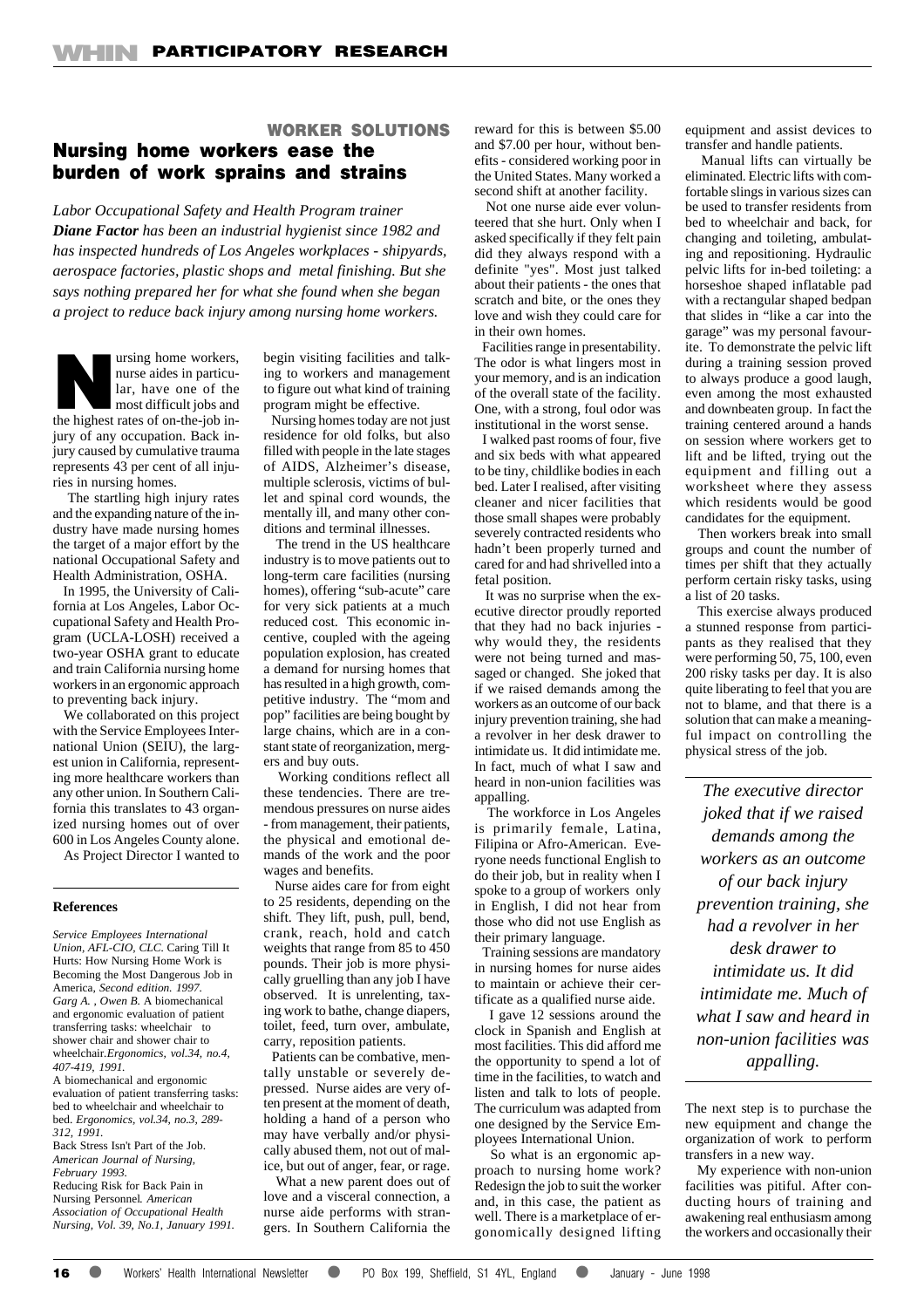# **WORKER SOLUTIONS Nursing home workers ease the burden of work sprains and strains**

#### *Labor Occupational Safety and Health Program trainer*

*Diane Factor has been an industrial hygienist since 1982 and has inspected hundreds of Los Angeles workplaces - shipyards, aerospace factories, plastic shops and metal finishing. But she says nothing prepared her for what she found when she began a project to reduce back injury among nursing home workers.*



 The startling high injury rates and the expanding nature of the industry have made nursing homes the target of a major effort by the national Occupational Safety and Health Administration, OSHA.

 In 1995, the University of California at Los Angeles, Labor Occupational Safety and Health Program (UCLA-LOSH) received a two-year OSHA grant to educate and train California nursing home workers in an ergonomic approach to preventing back injury.

 We collaborated on this project with the Service Employees International Union (SEIU), the largest union in California, representing more healthcare workers than any other union. In Southern California this translates to 43 organized nursing homes out of over 600 in Los Angeles County alone.

As Project Director I wanted to

### **References**

*Service Employees International Union, AFL-CIO, CLC.* Caring Till It Hurts: How Nursing Home Work is Becoming the Most Dangerous Job in America*, Second edition. 1997. Garg A. , Owen B.* A biomechanical and ergonomic evaluation of patient transferring tasks: wheelchair to shower chair and shower chair to wheelchair*.Ergonomics, vol.34, no.4, 407-419, 1991.*

A biomechanical and ergonomic evaluation of patient transferring tasks: bed to wheelchair and wheelchair to bed. *Ergonomics, vol.34, no.3, 289- 312, 1991.*

Back Stress Isn't Part of the Job. *American Journal of Nursing, February 1993.*

Reducing Risk for Back Pain in Nursing Personnel*. American Association of Occupational Health Nursing, Vol. 39, No.1, January 1991.* begin visiting facilities and talking to workers and management to figure out what kind of training program might be effective.

 Nursing homes today are not just residence for old folks, but also filled with people in the late stages of AIDS, Alzheimer's disease, multiple sclerosis, victims of bullet and spinal cord wounds, the mentally ill, and many other conditions and terminal illnesses.

 The trend in the US healthcare industry is to move patients out to long-term care facilities (nursing homes), offering "sub-acute" care for very sick patients at a much reduced cost. This economic incentive, coupled with the ageing population explosion, has created a demand for nursing homes that has resulted in a high growth, competitive industry. The "mom and pop" facilities are being bought by large chains, which are in a constant state of reorganization, mergers and buy outs.

 Working conditions reflect all these tendencies. There are tremendous pressures on nurse aides - from management, their patients, the physical and emotional demands of the work and the poor wages and benefits.

 Nurse aides care for from eight to 25 residents, depending on the shift. They lift, push, pull, bend, crank, reach, hold and catch weights that range from 85 to 450 pounds. Their job is more physically gruelling than any job I have observed. It is unrelenting, taxing work to bathe, change diapers, toilet, feed, turn over, ambulate, carry, reposition patients.

 Patients can be combative, mentally unstable or severely depressed. Nurse aides are very often present at the moment of death, holding a hand of a person who may have verbally and/or physically abused them, not out of malice, but out of anger, fear, or rage.

 What a new parent does out of love and a visceral connection, a nurse aide performs with strangers. In Southern California the reward for this is between \$5.00 and \$7.00 per hour, without benefits - considered working poor in the United States. Many worked a second shift at another facility.

 Not one nurse aide ever volunteered that she hurt. Only when I asked specifically if they felt pain did they always respond with a definite "yes". Most just talked about their patients - the ones that scratch and bite, or the ones they love and wish they could care for in their own homes.

 Facilities range in presentability. The odor is what lingers most in your memory, and is an indication of the overall state of the facility. One, with a strong, foul odor was institutional in the worst sense.

 I walked past rooms of four, five and six beds with what appeared to be tiny, childlike bodies in each bed. Later I realised, after visiting cleaner and nicer facilities that those small shapes were probably severely contracted residents who hadn't been properly turned and cared for and had shrivelled into a fetal position.

 It was no surprise when the executive director proudly reported that they had no back injuries why would they, the residents were not being turned and massaged or changed. She joked that if we raised demands among the workers as an outcome of our back injury prevention training, she had a revolver in her desk drawer to intimidate us. It did intimidate me. In fact, much of what I saw and heard in non-union facilities was appalling.

 The workforce in Los Angeles is primarily female, Latina, Filipina or Afro-American. Everyone needs functional English to do their job, but in reality when I spoke to a group of workers only in English, I did not hear from those who did not use English as their primary language.

 Training sessions are mandatory in nursing homes for nurse aides to maintain or achieve their certificate as a qualified nurse aide.

 I gave 12 sessions around the clock in Spanish and English at most facilities. This did afford me the opportunity to spend a lot of time in the facilities, to watch and listen and talk to lots of people. The curriculum was adapted from one designed by the Service Employees International Union.

 So what is an ergonomic approach to nursing home work? Redesign the job to suit the worker and, in this case, the patient as well. There is a marketplace of ergonomically designed lifting equipment and assist devices to transfer and handle patients.

 Manual lifts can virtually be eliminated. Electric lifts with comfortable slings in various sizes can be used to transfer residents from bed to wheelchair and back, for changing and toileting, ambulating and repositioning. Hydraulic pelvic lifts for in-bed toileting: a horseshoe shaped inflatable pad with a rectangular shaped bedpan that slides in "like a car into the garage" was my personal favourite. To demonstrate the pelvic lift during a training session proved to always produce a good laugh, even among the most exhausted and downbeaten group. In fact the training centered around a hands on session where workers get to lift and be lifted, trying out the equipment and filling out a worksheet where they assess which residents would be good candidates for the equipment.

 Then workers break into small groups and count the number of times per shift that they actually perform certain risky tasks, using a list of 20 tasks.

 This exercise always produced a stunned response from participants as they realised that they were performing 50, 75, 100, even 200 risky tasks per day. It is also quite liberating to feel that you are not to blame, and that there is a solution that can make a meaningful impact on controlling the physical stress of the job.

*The executive director joked that if we raised demands among the workers as an outcome of our back injury prevention training, she had a revolver in her desk drawer to intimidate us. It did intimidate me. Much of what I saw and heard in non-union facilities was appalling.*

The next step is to purchase the new equipment and change the organization of work to perform transfers in a new way.

 My experience with non-union facilities was pitiful. After conducting hours of training and awakening real enthusiasm among the workers and occasionally their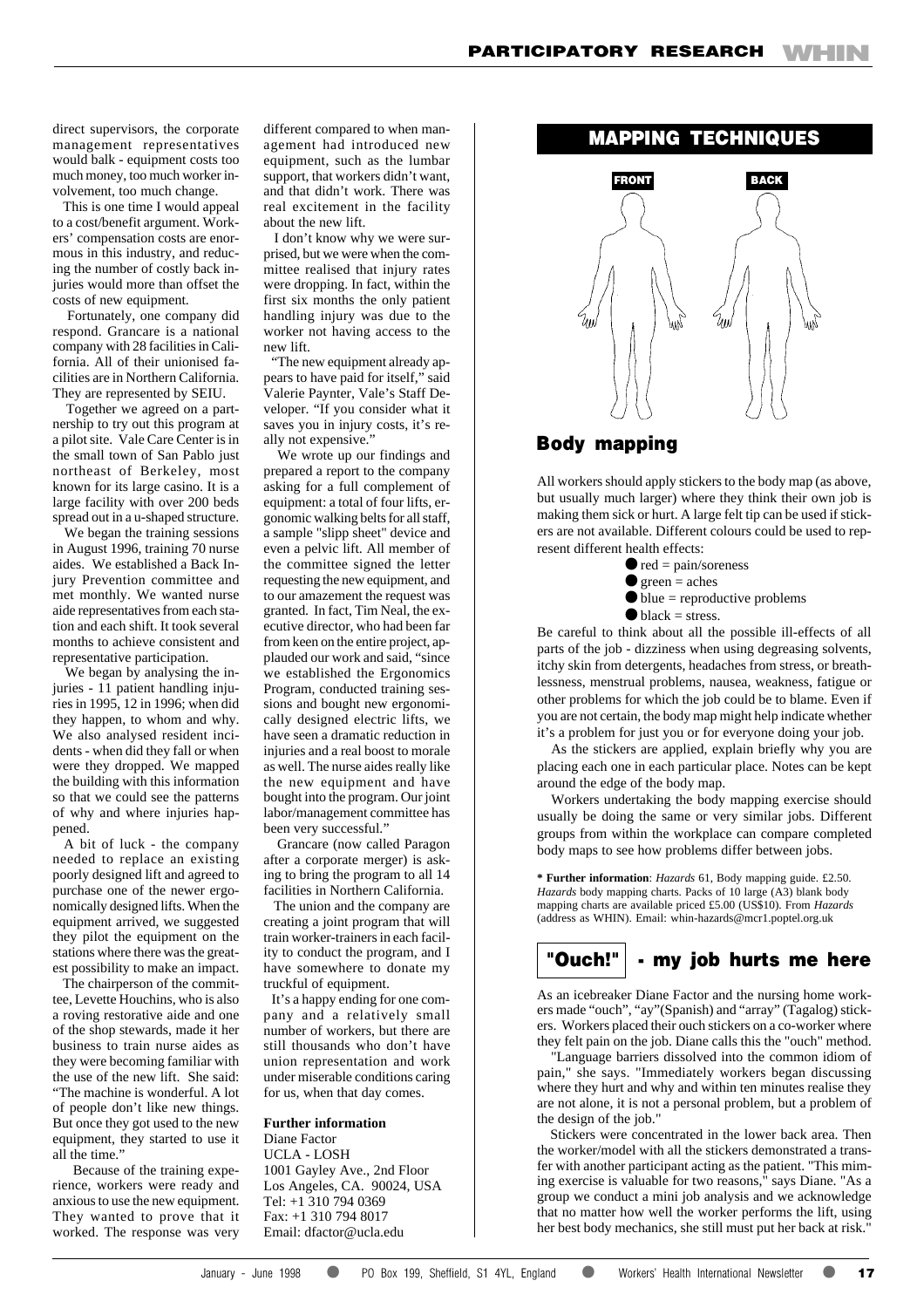direct supervisors, the corporate management representatives would balk - equipment costs too much money, too much worker involvement, too much change.

 This is one time I would appeal to a cost/benefit argument. Workers' compensation costs are enormous in this industry, and reducing the number of costly back injuries would more than offset the costs of new equipment.

 Fortunately, one company did respond. Grancare is a national company with 28 facilities in California. All of their unionised facilities are in Northern California. They are represented by SEIU.

 Together we agreed on a partnership to try out this program at a pilot site. Vale Care Center is in the small town of San Pablo just northeast of Berkeley, most known for its large casino. It is a large facility with over 200 beds spread out in a u-shaped structure.

 We began the training sessions in August 1996, training 70 nurse aides. We established a Back Injury Prevention committee and met monthly. We wanted nurse aide representatives from each station and each shift. It took several months to achieve consistent and representative participation.

 We began by analysing the injuries - 11 patient handling injuries in 1995, 12 in 1996; when did they happen, to whom and why. We also analysed resident incidents - when did they fall or when were they dropped. We mapped the building with this information so that we could see the patterns of why and where injuries happened.

 A bit of luck - the company needed to replace an existing poorly designed lift and agreed to purchase one of the newer ergonomically designed lifts. When the equipment arrived, we suggested they pilot the equipment on the stations where there was the greatest possibility to make an impact.

 The chairperson of the committee, Levette Houchins, who is also a roving restorative aide and one of the shop stewards, made it her business to train nurse aides as they were becoming familiar with the use of the new lift. She said: "The machine is wonderful. A lot of people don't like new things. But once they got used to the new equipment, they started to use it all the time."

 Because of the training experience, workers were ready and anxious to use the new equipment. They wanted to prove that it worked. The response was very different compared to when management had introduced new equipment, such as the lumbar support, that workers didn't want, and that didn't work. There was real excitement in the facility about the new lift.

 I don't know why we were surprised, but we were when the committee realised that injury rates were dropping. In fact, within the first six months the only patient handling injury was due to the worker not having access to the new lift.

 "The new equipment already appears to have paid for itself," said Valerie Paynter, Vale's Staff Developer. "If you consider what it saves you in injury costs, it's really not expensive."

 We wrote up our findings and prepared a report to the company asking for a full complement of equipment: a total of four lifts, ergonomic walking belts for all staff, a sample "slipp sheet" device and even a pelvic lift. All member of the committee signed the letter requesting the new equipment, and to our amazement the request was granted. In fact, Tim Neal, the executive director, who had been far from keen on the entire project, applauded our work and said, "since we established the Ergonomics Program, conducted training sessions and bought new ergonomically designed electric lifts, we have seen a dramatic reduction in injuries and a real boost to morale as well. The nurse aides really like the new equipment and have bought into the program. Our joint labor/management committee has been very successful."

 Grancare (now called Paragon after a corporate merger) is asking to bring the program to all 14 facilities in Northern California.

 The union and the company are creating a joint program that will train worker-trainers in each facility to conduct the program, and I have somewhere to donate my truckful of equipment.

 It's a happy ending for one company and a relatively small number of workers, but there are still thousands who don't have union representation and work under miserable conditions caring for us, when that day comes.

### **Further information**

Diane Factor UCLA - LOSH 1001 Gayley Ave., 2nd Floor Los Angeles, CA. 90024, USA Tel: +1 310 794 0369 Fax: +1 310 794 8017 Email: dfactor@ucla.edu

## **MAPPING TECHNIQUES**



## **Body mapping**

All workers should apply stickers to the body map (as above, but usually much larger) where they think their own job is making them sick or hurt. A large felt tip can be used if stickers are not available. Different colours could be used to represent different health effects:

- $\bullet$  red = pain/soreness
- $\bullet$  green = aches
- $\bullet$  blue = reproductive problems
- $\bullet$  black = stress.

Be careful to think about all the possible ill-effects of all parts of the job - dizziness when using degreasing solvents, itchy skin from detergents, headaches from stress, or breathlessness, menstrual problems, nausea, weakness, fatigue or other problems for which the job could be to blame. Even if you are not certain, the body map might help indicate whether it's a problem for just you or for everyone doing your job.

 As the stickers are applied, explain briefly why you are placing each one in each particular place. Notes can be kept around the edge of the body map.

 Workers undertaking the body mapping exercise should usually be doing the same or very similar jobs. Different groups from within the workplace can compare completed body maps to see how problems differ between jobs.

**\* Further information**: *Hazards* 61, Body mapping guide. £2.50. *Hazards* body mapping charts. Packs of 10 large (A3) blank body mapping charts are available priced £5.00 (US\$10). From *Hazards* (address as WHIN). Email: whin-hazards@mcr1.poptel.org.uk

# **"Ouch!" - my job hurts me here**

As an icebreaker Diane Factor and the nursing home workers made "ouch", "ay"(Spanish) and "array" (Tagalog) stickers. Workers placed their ouch stickers on a co-worker where they felt pain on the job. Diane calls this the "ouch" method.

 "Language barriers dissolved into the common idiom of pain," she says. "Immediately workers began discussing where they hurt and why and within ten minutes realise they are not alone, it is not a personal problem, but a problem of the design of the job."

 Stickers were concentrated in the lower back area. Then the worker/model with all the stickers demonstrated a transfer with another participant acting as the patient. "This miming exercise is valuable for two reasons," says Diane. "As a group we conduct a mini job analysis and we acknowledge that no matter how well the worker performs the lift, using her best body mechanics, she still must put her back at risk."